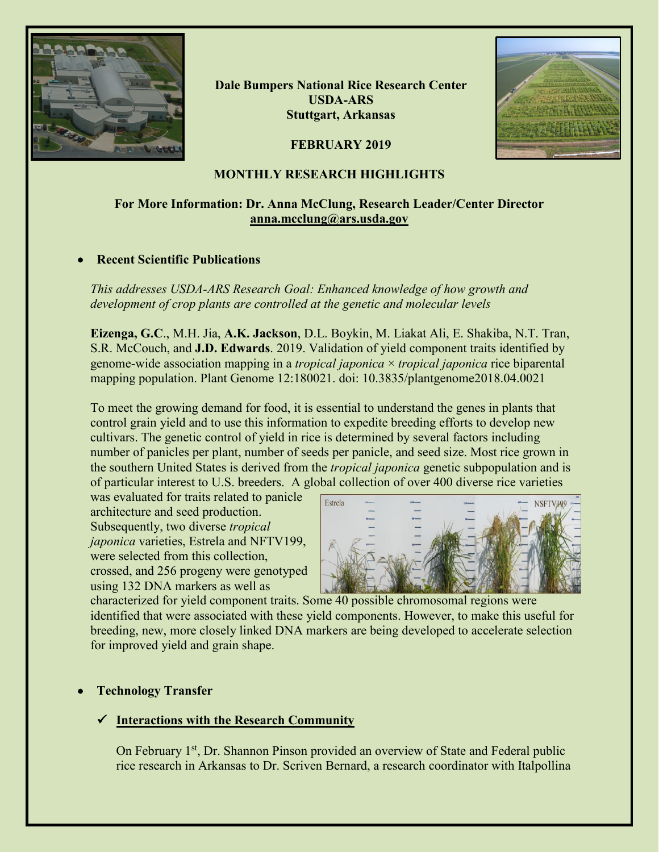

**Dale Bumpers National Rice Research Center USDA-ARS Stuttgart, Arkansas**

**FEBRUARY 2019**



# **MONTHLY RESEARCH HIGHLIGHTS**

# **For More Information: Dr. Anna McClung, Research Leader/Center Director [anna.mcclung@ars.usda.gov](mailto:anna.mcclung@ars.usda.gov)**

# • **Recent Scientific Publications**

*This addresses USDA-ARS Research Goal: Enhanced knowledge of how growth and development of crop plants are controlled at the genetic and molecular levels* 

**Eizenga, G.C**., M.H. Jia, **A.K. Jackson**, D.L. Boykin, M. Liakat Ali, E. Shakiba, N.T. Tran, S.R. McCouch, and **J.D. Edwards**. 2019. Validation of yield component traits identified by genome-wide association mapping in a *tropical japonica* × *tropical japonica* rice biparental mapping population. Plant Genome 12:180021. doi: 10.3835/plantgenome2018.04.0021

To meet the growing demand for food, it is essential to understand the genes in plants that control grain yield and to use this information to expedite breeding efforts to develop new cultivars. The genetic control of yield in rice is determined by several factors including number of panicles per plant, number of seeds per panicle, and seed size. Most rice grown in the southern United States is derived from the *tropical japonica* genetic subpopulation and is of particular interest to U.S. breeders. A global collection of over 400 diverse rice varieties

was evaluated for traits related to panicle architecture and seed production. Subsequently, two diverse *tropical japonica* varieties, Estrela and NFTV199, were selected from this collection, crossed, and 256 progeny were genotyped using 132 DNA markers as well as



characterized for yield component traits. Some 40 possible chromosomal regions were identified that were associated with these yield components. However, to make this useful for breeding, new, more closely linked DNA markers are being developed to accelerate selection for improved yield and grain shape.

# • **Technology Transfer**

## **Interactions with the Research Community**

On February 1<sup>st</sup>, Dr. Shannon Pinson provided an overview of State and Federal public rice research in Arkansas to Dr. Scriven Bernard, a research coordinator with Italpollina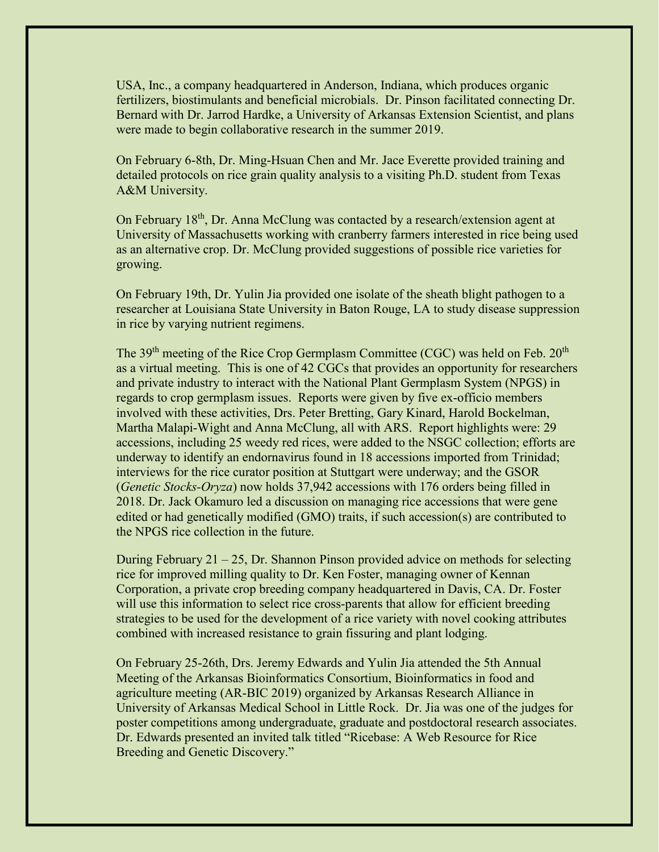USA, Inc., a company headquartered in Anderson, Indiana, which produces organic fertilizers, biostimulants and beneficial microbials. Dr. Pinson facilitated connecting Dr. Bernard with Dr. Jarrod Hardke, a University of Arkansas Extension Scientist, and plans were made to begin collaborative research in the summer 2019.

On February 6-8th, Dr. Ming-Hsuan Chen and Mr. Jace Everette provided training and detailed protocols on rice grain quality analysis to a visiting Ph.D. student from Texas A&M University.

On February 18<sup>th</sup>, Dr. Anna McClung was contacted by a research/extension agent at University of Massachusetts working with cranberry farmers interested in rice being used as an alternative crop. Dr. McClung provided suggestions of possible rice varieties for growing.

On February 19th, Dr. Yulin Jia provided one isolate of the sheath blight pathogen to a researcher at Louisiana State University in Baton Rouge, LA to study disease suppression in rice by varying nutrient regimens.

The  $39<sup>th</sup>$  meeting of the Rice Crop Germplasm Committee (CGC) was held on Feb.  $20<sup>th</sup>$ as a virtual meeting. This is one of 42 CGCs that provides an opportunity for researchers and private industry to interact with the National Plant Germplasm System (NPGS) in regards to crop germplasm issues. Reports were given by five ex-officio members involved with these activities, Drs. Peter Bretting, Gary Kinard, Harold Bockelman, Martha Malapi-Wight and Anna McClung, all with ARS. Report highlights were: 29 accessions, including 25 weedy red rices, were added to the NSGC collection; efforts are underway to identify an endornavirus found in 18 accessions imported from Trinidad; interviews for the rice curator position at Stuttgart were underway; and the GSOR (*Genetic Stocks-Oryza*) now holds 37,942 accessions with 176 orders being filled in 2018. Dr. Jack Okamuro led a discussion on managing rice accessions that were gene edited or had genetically modified (GMO) traits, if such accession(s) are contributed to the NPGS rice collection in the future.

During February 21 – 25, Dr. Shannon Pinson provided advice on methods for selecting rice for improved milling quality to Dr. Ken Foster, managing owner of Kennan Corporation, a private crop breeding company headquartered in Davis, CA. Dr. Foster will use this information to select rice cross-parents that allow for efficient breeding strategies to be used for the development of a rice variety with novel cooking attributes combined with increased resistance to grain fissuring and plant lodging.

On February 25-26th, Drs. Jeremy Edwards and Yulin Jia attended the 5th Annual Meeting of the Arkansas Bioinformatics Consortium, Bioinformatics in food and agriculture meeting (AR-BIC 2019) organized by Arkansas Research Alliance in University of Arkansas Medical School in Little Rock. Dr. Jia was one of the judges for poster competitions among undergraduate, graduate and postdoctoral research associates. Dr. Edwards presented an invited talk titled "Ricebase: A Web Resource for Rice Breeding and Genetic Discovery."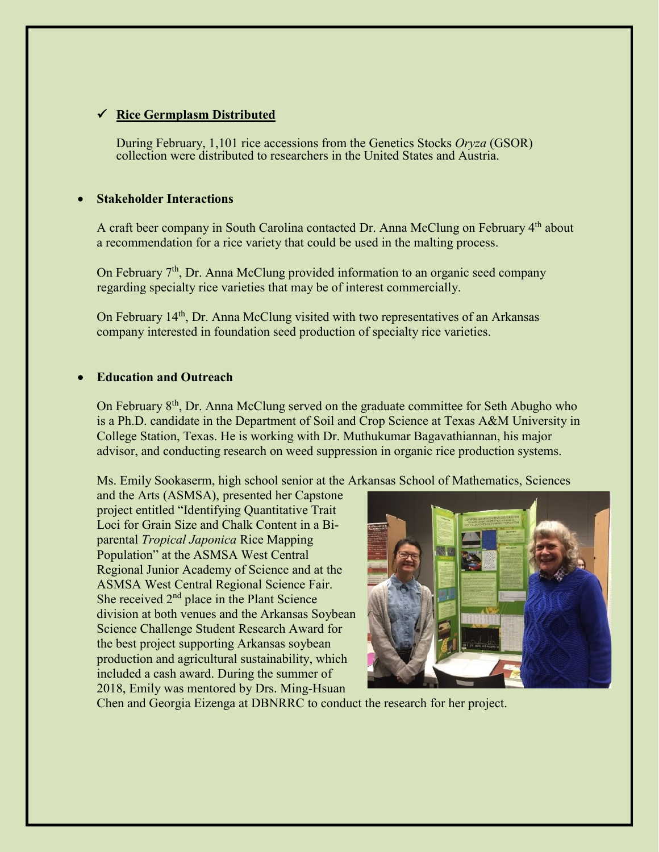# **Rice Germplasm Distributed**

During February, 1,101 rice accessions from the Genetics Stocks *Oryza* (GSOR) collection were distributed to researchers in the United States and Austria.

#### • **Stakeholder Interactions**

A craft beer company in South Carolina contacted Dr. Anna McClung on February 4th about a recommendation for a rice variety that could be used in the malting process.

On February  $7<sup>th</sup>$ , Dr. Anna McClung provided information to an organic seed company regarding specialty rice varieties that may be of interest commercially.

On February 14<sup>th</sup>, Dr. Anna McClung visited with two representatives of an Arkansas company interested in foundation seed production of specialty rice varieties.

### • **Education and Outreach**

On February  $8<sup>th</sup>$ , Dr. Anna McClung served on the graduate committee for Seth Abugho who is a Ph.D. candidate in the Department of Soil and Crop Science at Texas A&M University in College Station, Texas. He is working with Dr. Muthukumar Bagavathiannan, his major advisor, and conducting research on weed suppression in organic rice production systems.

Ms. Emily Sookaserm, high school senior at the Arkansas School of Mathematics, Sciences

and the Arts (ASMSA), presented her Capstone project entitled "Identifying Quantitative Trait Loci for Grain Size and Chalk Content in a Biparental *Tropical Japonica* Rice Mapping Population" at the ASMSA West Central Regional Junior Academy of Science and at the ASMSA West Central Regional Science Fair. She received 2<sup>nd</sup> place in the Plant Science division at both venues and the Arkansas Soybean Science Challenge Student Research Award for the best project supporting Arkansas soybean production and agricultural sustainability, which included a cash award. During the summer of 2018, Emily was mentored by Drs. Ming-Hsuan



Chen and Georgia Eizenga at DBNRRC to conduct the research for her project.